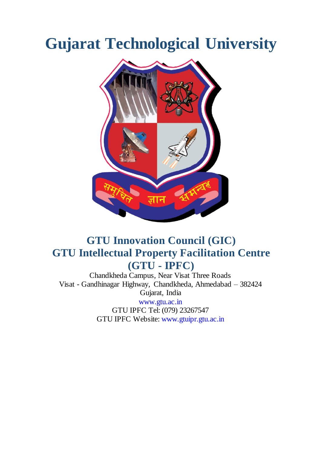# **Gujarat Technological University**



## **GTU Innovation Council (GIC) GTU Intellectual Property Facilitation Centre (GTU - IPFC)**

Chandkheda Campus, Near Visat Three Roads Visat - Gandhinagar Highway, Chandkheda, Ahmedabad – 382424 Gujarat, India [www.gtu.ac.in](http://www.gtu.ac.in/)  GTU IPFC Tel: (079) 23267547 GTU IPFC Website[: www.gtuipr.gtu.ac.in](http://www.gtuipr.gtu.ac.in/)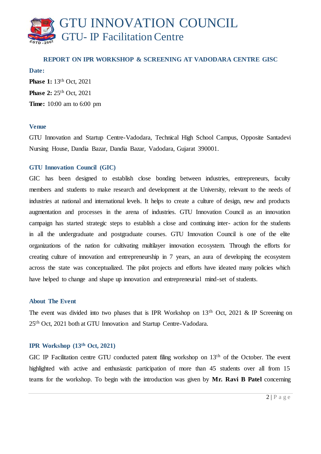# GTU INNOVATION COUNCIL GTU- IP Facilitation Centre

#### **REPORT ON IPR WORKSHOP & SCREENING AT VADODARA CENTRE GISC**

**Date: Phase 1:** 13<sup>th</sup> Oct, 2021 **Phase 2: 25<sup>th</sup> Oct**, 2021 **Time:** 10:00 am to 6:00 pm

#### **Venue**

GTU Innovation and Startup Centre-Vadodara, Technical High School Campus, Opposite Santadevi Nursing House, Dandia Bazar, Dandia Bazar, Vadodara, Gujarat 390001.

#### **GTU Innovation Council (GIC)**

GIC has been designed to establish close bonding between industries, entrepreneurs, faculty members and students to make research and development at the University, relevant to the needs of industries at national and international levels. It helps to create a culture of design, new and products augmentation and processes in the arena of industries. GTU Innovation Council as an innovation campaign has started strategic steps to establish a close and continuing inter- action for the students in all the undergraduate and postgraduate courses. GTU Innovation Council is one of the elite organizations of the nation for cultivating multilayer innovation ecosystem. Through the efforts for creating culture of innovation and entrepreneurship in 7 years, an aura of developing the ecosystem across the state was conceptualized. The pilot projects and efforts have ideated many policies which have helped to change and shape up innovation and entrepreneurial mind-set of students.

#### **About The Event**

The event was divided into two phases that is IPR Workshop on 13<sup>th</sup> Oct, 2021 & IP Screening on 25th Oct, 2021 both at GTU Innovation and Startup Centre-Vadodara.

#### **IPR Workshop (13th Oct, 2021)**

GIC IP Facilitation centre GTU conducted patent filing workshop on 13<sup>th</sup> of the October. The event highlighted with active and enthusiastic participation of more than 45 students over all from 15 teams for the workshop. To begin with the introduction was given by **Mr. Ravi B Patel** concerning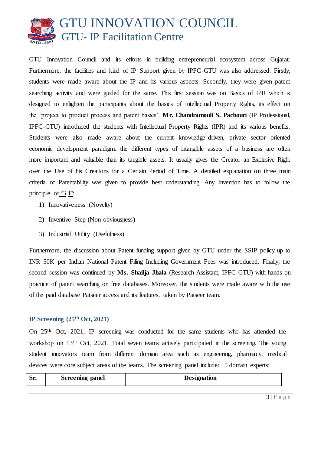

GTU Innovation Council and its efforts in building entrepreneurial ecosystem across Gujarat. Furthermore, the facilities and kind of IP Support given by IPFC-GTU was also addressed. Firstly, students were made aware about the IP and its various aspects. Secondly, they were given patent searching activity and were guided for the same. This first session was on Basics of IPR which is designed to enlighten the participants about the basics of Intellectual Property Rights, its effect on the 'project to product process and patent basics'. **Mr. Chandramouli S. Pachouri** (IP Professional, IPFC-GTU) introduced the students with Intellectual Property Rights (IPR) and its various benefits. Students were also made aware about the current knowledge-driven, private sector oriented economic development paradigm, the different types of intangible assets of a business are often more important and valuable than its tangible assets. It usually gives the Creator an Exclusive Right over the Use of his Creations for a Certain Period of Time. A detailed explanation on three main criteria of Patentability was given to provide best understanding. Any Invention has to follow the principle of "3 I":

- 1) Innovativeness (Novelty)
- 2) Inventive Step (Non-obviousness)
- 3) Industrial Utility (Usefulness)

Furthermore, the discussion about Patent funding support given by GTU under the SSIP policy up to INR 50K per Indian National Patent Filing Including Government Fees was introduced. Finally, the second session was continued by **Ms. Shailja Jhala** (Research Assistant, IPFC-GTU) with hands on practice of patent searching on free databases. Moreover, the students were made aware with the use of the paid database Patseer access and its features, taken by Patseer team.

#### **IP Screening (25th Oct, 2021)**

On 25th Oct, 2021, IP screening was conducted for the same students who has attended the workshop on 13<sup>th</sup> Oct, 2021. Total seven teams actively participated in the screening. The young student innovators team from different domain area such as engineering, pharmacy, medical devices were core subject areas of the teams. The screening panel included 5 domain experts:

| $\mathbf{C}$<br>IJΙ | Screening panel | <b>Designation</b> |
|---------------------|-----------------|--------------------|
|                     |                 |                    |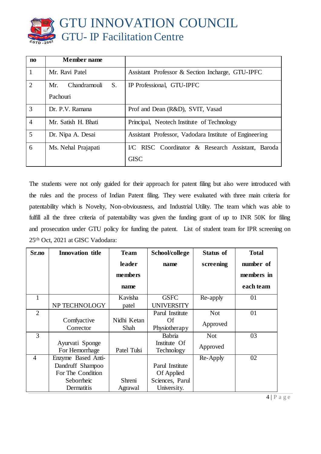

| $\mathbf{n}$   | Member name               |                                                        |  |  |  |  |
|----------------|---------------------------|--------------------------------------------------------|--|--|--|--|
|                | Mr. Ravi Patel            | Assistant Professor & Section Incharge, GTU-IPFC       |  |  |  |  |
| 2              | Chandramouli<br>S.<br>Mr. | IP Professional, GTU-IPFC                              |  |  |  |  |
|                | Pachouri                  |                                                        |  |  |  |  |
| 3              | Dr. P.V. Ramana           | Prof and Dean (R&D), SVIT, Vasad                       |  |  |  |  |
| $\overline{4}$ | Mr. Satish H. Bhati       | Principal, Neotech Institute of Technology             |  |  |  |  |
| 5              | Dr. Nipa A. Desai         | Assistant Professor, Vadodara Institute of Engineering |  |  |  |  |
| 6              | Ms. Nehal Prajapati       | I/C RISC Coordinator & Research Assistant, Baroda      |  |  |  |  |
|                |                           | <b>GISC</b>                                            |  |  |  |  |

The students were not only guided for their approach for patent filing but also were introduced with the rules and the process of Indian Patent filing. They were evaluated with three main criteria for patentability which is Novelty, Non-obviousness, and Industrial Utility. The team which was able to fulfill all the three criteria of patentability was given the funding grant of up to INR 50K for filing and prosecution under GTU policy for funding the patent. List of student team for IPR screening on 25th Oct, 2021 at GISC Vadodara:

| Sr.no          | <b>Innovation title</b> | <b>Team</b> | School/college    | <b>Status of</b> | <b>Total</b> |
|----------------|-------------------------|-------------|-------------------|------------------|--------------|
|                |                         | leader      | name              | screening        | number of    |
|                |                         | members     |                   |                  | members in   |
|                |                         | name        |                   |                  | each team    |
| -1             |                         | Kavisha     | <b>GSFC</b>       | Re-apply         | 01           |
|                | NP TECHNOLOGY           | patel       | <b>UNIVERSITY</b> |                  |              |
| $\overline{2}$ |                         |             | Parul Institute   | <b>Not</b>       | 01           |
|                | Comfyactive             | Nidhi Ketan | Of                | Approved         |              |
|                | Corrector               | Shah        | Physiotherapy     |                  |              |
| 3              |                         |             | Babria            | <b>Not</b>       | 03           |
|                | Ayurvati Sponge         |             | Institute Of      |                  |              |
|                | For Hemorrhage          | Patel Tulsi | Technology        | Approved         |              |
| $\overline{4}$ | Enzyme Based Anti-      |             |                   | Re-Apply         | 02           |
|                | Dandruff Shampoo        |             | Parul Institute   |                  |              |
|                | For The Condition       |             | Of Applied        |                  |              |
|                | Seborrheic              | Shreni      | Sciences, Parul   |                  |              |
|                | Dermatitis              | Agrawal     | University.       |                  |              |

4 | P a g e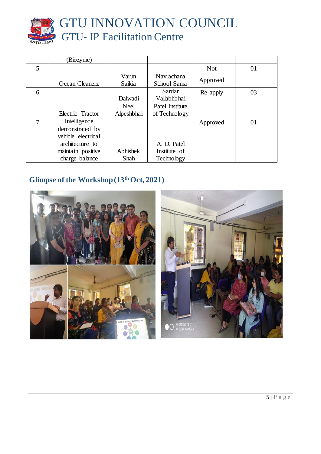

|   | (Biozyme)                                              |                        |                                           |            |    |
|---|--------------------------------------------------------|------------------------|-------------------------------------------|------------|----|
| 5 |                                                        |                        |                                           | <b>Not</b> | 01 |
|   | Ocean Cleanerz                                         | Varun<br>Saikia        | Navrachana<br>School Sama                 | Approved   |    |
| 6 |                                                        | Dalwadi<br><b>Neel</b> | Sardar<br>Vallabhbhai<br>Patel Institute  | Re-apply   | 03 |
|   | Electric Tractor                                       | Alpeshbhai             | of Technology                             |            |    |
| 7 | Intelligence<br>demonstrated by<br>vehicle electrical  |                        |                                           | Approved   | 01 |
|   | architecture to<br>maintain positive<br>charge balance | Abhishek<br>Shah       | A. D. Patel<br>Institute of<br>Technology |            |    |

### **Glimpse of the Workshop (13th Oct, 2021)**